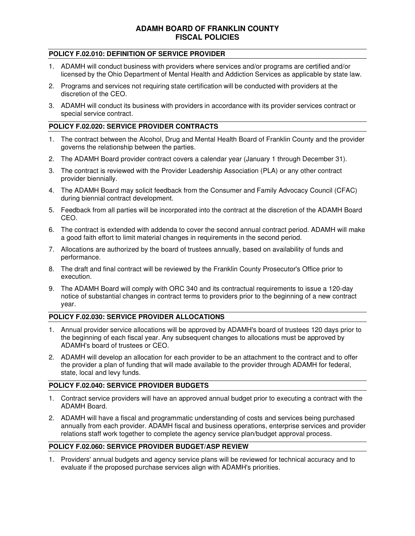# **ADAMH BOARD OF FRANKLIN COUNTY FISCAL POLICIES**

### **POLICY F.02.010: DEFINITION OF SERVICE PROVIDER**

- 1. ADAMH will conduct business with providers where services and/or programs are certified and/or licensed by the Ohio Department of Mental Health and Addiction Services as applicable by state law.
- 2. Programs and services not requiring state certification will be conducted with providers at the discretion of the CEO.
- 3. ADAMH will conduct its business with providers in accordance with its provider services contract or special service contract.

## **POLICY F.02.020: SERVICE PROVIDER CONTRACTS**

- 1. The contract between the Alcohol, Drug and Mental Health Board of Franklin County and the provider governs the relationship between the parties.
- 2. The ADAMH Board provider contract covers a calendar year (January 1 through December 31).
- 3. The contract is reviewed with the Provider Leadership Association (PLA) or any other contract provider biennially.
- 4. The ADAMH Board may solicit feedback from the Consumer and Family Advocacy Council (CFAC) during biennial contract development.
- 5. Feedback from all parties will be incorporated into the contract at the discretion of the ADAMH Board CEO.
- 6. The contract is extended with addenda to cover the second annual contract period. ADAMH will make a good faith effort to limit material changes in requirements in the second period.
- 7. Allocations are authorized by the board of trustees annually, based on availability of funds and performance.
- 8. The draft and final contract will be reviewed by the Franklin County Prosecutor's Office prior to execution.
- 9. The ADAMH Board will comply with ORC 340 and its contractual requirements to issue a 120-day notice of substantial changes in contract terms to providers prior to the beginning of a new contract year.

### **POLICY F.02.030: SERVICE PROVIDER ALLOCATIONS**

- 1. Annual provider service allocations will be approved by ADAMH's board of trustees 120 days prior to the beginning of each fiscal year. Any subsequent changes to allocations must be approved by ADAMH's board of trustees or CEO.
- 2. ADAMH will develop an allocation for each provider to be an attachment to the contract and to offer the provider a plan of funding that will made available to the provider through ADAMH for federal, state, local and levy funds.

### **POLICY F.02.040: SERVICE PROVIDER BUDGETS**

- 1. Contract service providers will have an approved annual budget prior to executing a contract with the ADAMH Board.
- 2. ADAMH will have a fiscal and programmatic understanding of costs and services being purchased annually from each provider. ADAMH fiscal and business operations, enterprise services and provider relations staff work together to complete the agency service plan/budget approval process.

### **POLICY F.02.060: SERVICE PROVIDER BUDGET/ASP REVIEW**

1. Providers' annual budgets and agency service plans will be reviewed for technical accuracy and to evaluate if the proposed purchase services align with ADAMH's priorities.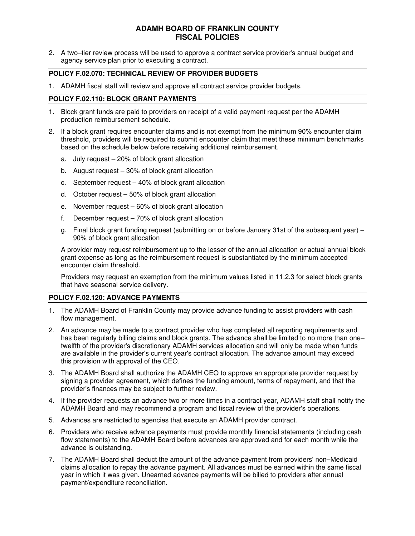# **ADAMH BOARD OF FRANKLIN COUNTY FISCAL POLICIES**

2. A two–tier review process will be used to approve a contract service provider's annual budget and agency service plan prior to executing a contract.

### **POLICY F.02.070: TECHNICAL REVIEW OF PROVIDER BUDGETS**

1. ADAMH fiscal staff will review and approve all contract service provider budgets.

### **POLICY F.02.110: BLOCK GRANT PAYMENTS**

- 1. Block grant funds are paid to providers on receipt of a valid payment request per the ADAMH production reimbursement schedule.
- 2. If a block grant requires encounter claims and is not exempt from the minimum 90% encounter claim threshold, providers will be required to submit encounter claim that meet these minimum benchmarks based on the schedule below before receiving additional reimbursement.
	- a. July request 20% of block grant allocation
	- b. August request 30% of block grant allocation
	- c. September request 40% of block grant allocation
	- d. October request 50% of block grant allocation
	- e. November request 60% of block grant allocation
	- f. December request 70% of block grant allocation
	- g. Final block grant funding request (submitting on or before January 31st of the subsequent year) 90% of block grant allocation

A provider may request reimbursement up to the lesser of the annual allocation or actual annual block grant expense as long as the reimbursement request is substantiated by the minimum accepted encounter claim threshold.

Providers may request an exemption from the minimum values listed in 11.2.3 for select block grants that have seasonal service delivery.

#### **POLICY F.02.120: ADVANCE PAYMENTS**

- 1. The ADAMH Board of Franklin County may provide advance funding to assist providers with cash flow management.
- 2. An advance may be made to a contract provider who has completed all reporting requirements and has been regularly billing claims and block grants. The advance shall be limited to no more than one– twelfth of the provider's discretionary ADAMH services allocation and will only be made when funds are available in the provider's current year's contract allocation. The advance amount may exceed this provision with approval of the CEO.
- 3. The ADAMH Board shall authorize the ADAMH CEO to approve an appropriate provider request by signing a provider agreement, which defines the funding amount, terms of repayment, and that the provider's finances may be subject to further review.
- 4. If the provider requests an advance two or more times in a contract year, ADAMH staff shall notify the ADAMH Board and may recommend a program and fiscal review of the provider's operations.
- 5. Advances are restricted to agencies that execute an ADAMH provider contract.
- 6. Providers who receive advance payments must provide monthly financial statements (including cash flow statements) to the ADAMH Board before advances are approved and for each month while the advance is outstanding.
- 7. The ADAMH Board shall deduct the amount of the advance payment from providers' non–Medicaid claims allocation to repay the advance payment. All advances must be earned within the same fiscal year in which it was given. Unearned advance payments will be billed to providers after annual payment/expenditure reconciliation.